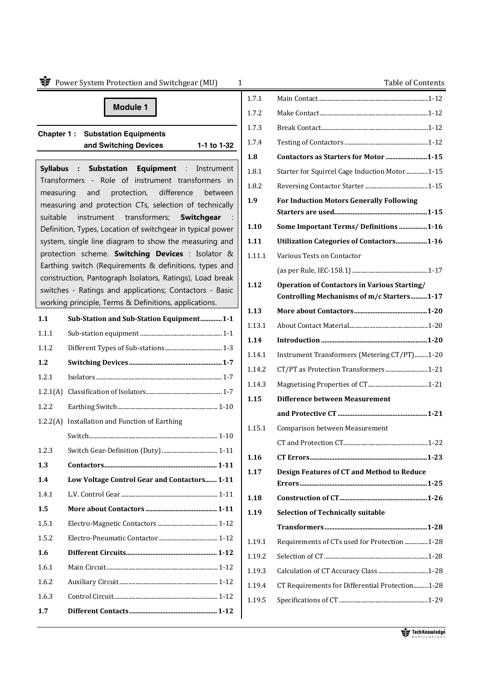|           | Power System Protection and Switchgear (MU)                                                                         | $\mathbf{1}$ | Table of Contents                                   |
|-----------|---------------------------------------------------------------------------------------------------------------------|--------------|-----------------------------------------------------|
|           |                                                                                                                     | 1.7.1        |                                                     |
|           | <b>Module 1</b>                                                                                                     | 1.7.2        |                                                     |
|           |                                                                                                                     | 1.7.3        |                                                     |
|           | <b>Chapter 1: Substation Equipments</b><br>and Switching Devices<br>1-1 to 1-32                                     | 1.7.4        |                                                     |
|           |                                                                                                                     | 1.8          | Contactors as Starters for Motor 1-15               |
|           | Syllabus : Substation Equipment : Instrument                                                                        | 1.8.1        | Starter for Squirrel Cage Induction Motor1-15       |
|           | Transformers - Role of instrument transformers in                                                                   | 1.8.2        |                                                     |
| measuring | protection,<br>difference<br>and<br>between<br>measuring and protection CTs, selection of technically               | 1.9          | <b>For Induction Motors Generally Following</b>     |
| suitable  | transformers;<br>instrument<br>Switchgear                                                                           |              |                                                     |
|           | Definition, Types, Location of switchgear in typical power                                                          | 1.10         | <b>Some Important Terms/ Definitions 1-16</b>       |
|           | system, single line diagram to show the measuring and                                                               | 1.11         | Utilization Categories of Contactors1-16            |
|           | protection scheme. Switching Devices : Isolator &                                                                   | 1.11.1       | Various Tests on Contactor                          |
|           | Earthing switch (Requirements & definitions, types and                                                              |              |                                                     |
|           | construction, Pantograph Isolators, Ratings), Load break<br>switches - Ratings and applications; Contactors - Basic | 1.12         | <b>Operation of Contactors in Various Starting/</b> |
|           | working principle, Terms & Definitions, applications.                                                               |              | Controlling Mechanisms of m/c Starters1-17          |
| 1.1       | Sub-Station and Sub-Station Equipment1-1                                                                            | 1.13         |                                                     |
| 1.1.1     |                                                                                                                     | 1.13.1       |                                                     |
| 1.1.2     |                                                                                                                     | 1.14         |                                                     |
| 1.2       |                                                                                                                     | 1.14.1       | Instrument Transformers (Metering CT/PT)1-20        |
| 1.2.1     |                                                                                                                     | 1.14.2       | CT/PT as Protection Transformers1-21                |
|           |                                                                                                                     | 1.14.3       |                                                     |
| 1.2.1(A)  |                                                                                                                     | 1.15         | <b>Difference between Measurement</b>               |
| 1.2.2     |                                                                                                                     |              |                                                     |
| 1.2.2(A)  | Installation and Function of Earthing                                                                               | 1.15.1       | Comparison between Measurement                      |
|           |                                                                                                                     |              |                                                     |
| 1.2.3     |                                                                                                                     | 1.16         |                                                     |
| 1.3       |                                                                                                                     | 1.17         | <b>Design Features of CT and Method to Reduce</b>   |
| 1.4       | Low Voltage Control Gear and Contactors 1-11                                                                        |              |                                                     |
| 1.4.1     |                                                                                                                     | 1.18         |                                                     |
| 1.5       |                                                                                                                     | 1.19         | <b>Selection of Technically suitable</b>            |
| 1.5.1     |                                                                                                                     |              |                                                     |
| 1.5.2     |                                                                                                                     | 1.19.1       | Requirements of CTs used for Protection 1-28        |
| 1.6       |                                                                                                                     | 1.19.2       |                                                     |
| 1.6.1     |                                                                                                                     | 1.19.3       |                                                     |
| 1.6.2     |                                                                                                                     | 1.19.4       | CT Requirements for Differential Protection1-28     |
| 1.6.3     |                                                                                                                     | 1.19.5       |                                                     |
| 1.7       |                                                                                                                     |              |                                                     |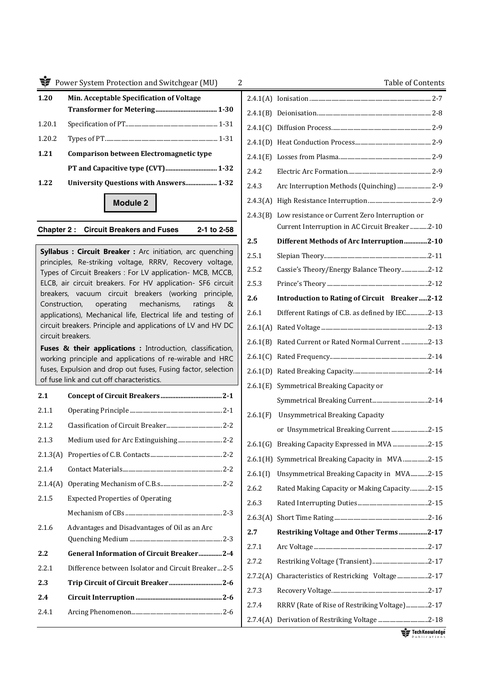| 1.20   | Min. Acceptable Specification of Voltage |  |  |
|--------|------------------------------------------|--|--|
|        |                                          |  |  |
| 1.20.1 |                                          |  |  |
| 1.20.2 |                                          |  |  |
| 1.21   | Comparison between Electromagnetic type  |  |  |
|        |                                          |  |  |
| 1.22   |                                          |  |  |
|        |                                          |  |  |

## **Module 2**

## **Chapter 2 : Circuit Breakers and Fuses 2-1 to 2-58**

**Syllabus : Circuit Breaker :** Arc initiation, arc quenching principles, Re-striking voltage, RRRV, Recovery voltage, Types of Circuit Breakers : For LV application- MCB, MCCB, ELCB, air circuit breakers. For HV application- SF6 circuit breakers, vacuum circuit breakers (working principle, Construction, operating mechanisms, ratings & applications), Mechanical life, Electrical life and testing of circuit breakers. Principle and applications of LV and HV DC circuit breakers.

**Fuses & their applications :** Introduction, classification, working principle and applications of re-wirable and HRC fuses, Expulsion and drop out fuses, Fusing factor, selection of fuse link and cut off characteristics.

| 2.1   |                                                     |
|-------|-----------------------------------------------------|
| 2.1.1 |                                                     |
| 2.1.2 |                                                     |
| 2.1.3 | Medium used for Arc Extinguishing 2-2               |
|       |                                                     |
| 2.1.4 |                                                     |
|       |                                                     |
| 2.1.5 | <b>Expected Properties of Operating</b>             |
|       |                                                     |
| 2.1.6 | Advantages and Disadvantages of Oil as an Arc       |
|       |                                                     |
| 2.2   | General Information of Circuit Breaker2-4           |
| 2.2.1 | Difference between Isolator and Circuit Breaker 2-5 |
| 2.3   |                                                     |
| 2.4   |                                                     |
| 2.4.1 |                                                     |
|       |                                                     |

| 2.4.1(A) |                                                  |
|----------|--------------------------------------------------|
| 2.4.1(B) |                                                  |
| 2.4.1(C) |                                                  |
| 2.4.1(D) |                                                  |
| 2.4.1(E) |                                                  |
| 2.4.2    |                                                  |
| 2.4.3    | Arc Interruption Methods (Quinching)  2-9        |
| 2.4.3(A) |                                                  |
| 2.4.3(B) | Low resistance or Current Zero Interruption or   |
|          | Current Interruption in AC Circuit Breaker2-10   |
| 2.5      | Different Methods of Arc Interruption2-10        |
| 2.5.1    |                                                  |
| 2.5.2    | Cassie's Theory/Energy Balance Theory2-12        |
| 2.5.3    |                                                  |
| 2.6      | Introduction to Rating of Circuit Breaker2-12    |
| 2.6.1    | Different Ratings of C.B. as defined by IEC2-13  |
| 2.6.1(A) |                                                  |
| 2.6.1(B) | Rated Current or Rated Normal Current 2-13       |
| 2.6.1(C) |                                                  |
| 2.6.1(D) |                                                  |
| 2.6.1(E) | Symmetrical Breaking Capacity or                 |
|          |                                                  |
| 2.6.1(F) | <b>Unsymmetrical Breaking Capacity</b>           |
|          | or Unsymmetrical Breaking Current2-15            |
|          | 2.6.1(G) Breaking Capacity Expressed in MVA 2-15 |
| 2.6.1(H) | Symmetrical Breaking Capacity in MVA 2-15        |
| 2.6.1(I) | Unsymmetrical Breaking Capacity in MVA2-15       |
| 2.6.2    | Rated Making Capacity or Making Capacity2-15     |
| 2.6.3    |                                                  |
| 2.6.3(A) |                                                  |
| 2.7      | Restriking Voltage and Other Terms 2-17          |
| 2.7.1    |                                                  |
| 2.7.2    |                                                  |
| 2.7.2(A) | Characteristics of Restricking Voltage2-17       |
| 2.7.3    |                                                  |
| 2.7.4    | RRRV (Rate of Rise of Restriking Voltage)2-17    |
| 2.7.4(A) |                                                  |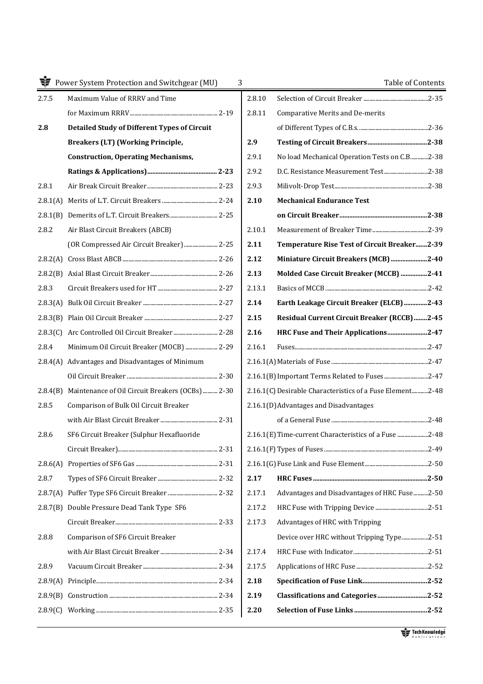|          | <b>N</b> Power System Protection and Switchgear (MU) |
|----------|------------------------------------------------------|
| 2.7.5    | Maximum Value of RRRV and Time                       |
|          |                                                      |
| 2.8      | <b>Detailed Study of Different Types of Circuit</b>  |
|          | <b>Breakers (LT) (Working Principle,</b>             |
|          | <b>Construction, Operating Mechanisms,</b>           |
|          |                                                      |
| 2.8.1    |                                                      |
|          |                                                      |
| 2.8.1(B) |                                                      |
| 2.8.2    | Air Blast Circuit Breakers (ABCB)                    |
|          | (OR Compressed Air Circuit Breaker)  2-25            |
|          |                                                      |
|          |                                                      |
| 2.8.3    |                                                      |
|          |                                                      |
|          |                                                      |
| 2.8.3(C) |                                                      |
| 2.8.4    | Minimum Oil Circuit Breaker (MOCB)  2-29             |
| 2.8.4(A) | Advantages and Disadvantages of Minimum              |
|          |                                                      |
| 2.8.4(B) | Maintenance of Oil Circuit Breakers (OCBs)  2-30     |
| 2.8.5    | Comparison of Bulk Oil Circuit Breaker               |
|          |                                                      |
| 2.8.6    | SF6 Circuit Breaker (Sulphur Hexafluoride            |
|          |                                                      |
| 2.8.6(A) |                                                      |
| 2.8.7    |                                                      |
| 2.8.7(A) |                                                      |
| 2.8.7(B) | Double Pressure Dead Tank Type SF6                   |
|          |                                                      |
| 2.8.8    | Comparison of SF6 Circuit Breaker                    |
|          |                                                      |
| 2.8.9    |                                                      |
| 2.8.9(A) |                                                      |
|          |                                                      |
|          |                                                      |
|          |                                                      |

|              | Power System Protection and Switchgear (MU)<br>3    |        | Table of Contents                                         |  |
|--------------|-----------------------------------------------------|--------|-----------------------------------------------------------|--|
|              | Maximum Value of RRRV and Time                      | 2.8.10 |                                                           |  |
|              |                                                     | 2.8.11 | Comparative Merits and De-merits                          |  |
|              | <b>Detailed Study of Different Types of Circuit</b> |        |                                                           |  |
|              | <b>Breakers (LT) (Working Principle,</b>            | 2.9    |                                                           |  |
|              | <b>Construction, Operating Mechanisms,</b>          | 2.9.1  | No load Mechanical Operation Tests on C.B2-38             |  |
|              |                                                     | 2.9.2  | D.C. Resistance Measurement Test2-38                      |  |
| L            |                                                     | 2.9.3  |                                                           |  |
| (A)          |                                                     | 2.10   | <b>Mechanical Endurance Test</b>                          |  |
| (B)          |                                                     |        |                                                           |  |
|              | Air Blast Circuit Breakers (ABCB)                   | 2.10.1 |                                                           |  |
|              | (OR Compressed Air Circuit Breaker)  2-25           | 2.11   | Temperature Rise Test of Circuit Breaker2-39              |  |
|              |                                                     | 2.12   | Miniature Circuit Breakers (MCB)2-40                      |  |
|              |                                                     | 2.13   | Molded Case Circuit Breaker (MCCB) 2-41                   |  |
|              |                                                     | 2.13.1 |                                                           |  |
|              |                                                     | 2.14   | Earth Leakage Circuit Breaker (ELCB) 2-43                 |  |
|              |                                                     | 2.15   | Residual Current Circuit Breaker (RCCB) 2-45              |  |
|              |                                                     | 2.16   | HRC Fuse and Their Applications2-47                       |  |
|              | Minimum Oil Circuit Breaker (MOCB)  2-29            | 2.16.1 |                                                           |  |
|              | [A] Advantages and Disadvantages of Minimum         |        |                                                           |  |
|              |                                                     |        |                                                           |  |
| H(B)         | Maintenance of Oil Circuit Breakers (OCBs)  2-30    |        | 2.16.1(C) Desirable Characteristics of a Fuse Element2-48 |  |
|              | Comparison of Bulk Oil Circuit Breaker              |        | 2.16.1(D) Advantages and Disadvantages                    |  |
|              |                                                     |        |                                                           |  |
|              | SF6 Circuit Breaker (Sulphur Hexafluoride           |        | 2.16.1(E) Time-current Characteristics of a Fuse 2-48     |  |
|              |                                                     |        |                                                           |  |
|              |                                                     |        |                                                           |  |
|              |                                                     | 2.17   |                                                           |  |
| (A)          |                                                     | 2.17.1 | Advantages and Disadvantages of HRC Fuse2-50              |  |
| $\sqrt{(B)}$ | Double Pressure Dead Tank Type SF6                  | 2.17.2 |                                                           |  |
|              |                                                     | 2.17.3 | Advantages of HRC with Tripping                           |  |
| š            | Comparison of SF6 Circuit Breaker                   |        | Device over HRC without Tripping Type2-51                 |  |
|              |                                                     | 2.17.4 |                                                           |  |
|              |                                                     | 2.17.5 |                                                           |  |
| $\theta(A)$  |                                                     | 2.18   |                                                           |  |
| $\theta(B)$  |                                                     | 2.19   | Classifications and Categories2-52                        |  |
|              |                                                     | 2.20   |                                                           |  |
|              |                                                     |        |                                                           |  |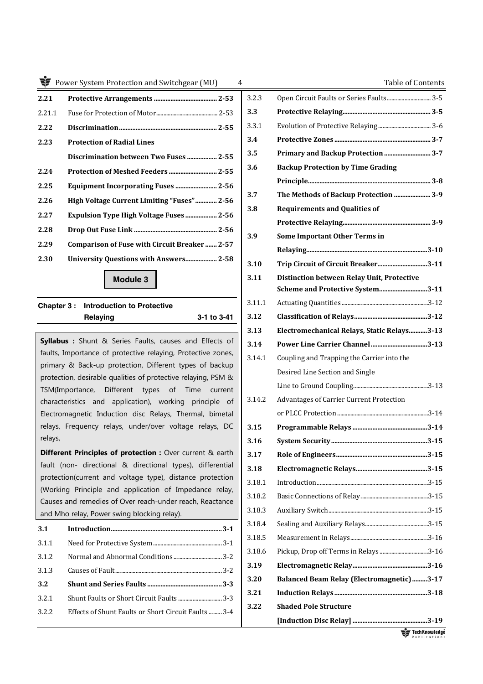| 2.21   |                                               |
|--------|-----------------------------------------------|
| 2.21.1 |                                               |
| 2.22   |                                               |
| 2.23   | <b>Protection of Radial Lines</b>             |
|        |                                               |
| 2.24   |                                               |
| 2.25   | <b>Equipment Incorporating Fuses  2-56</b>    |
| 2.26   | High Voltage Current Limiting "Fuses" 2-56    |
| 2.27   |                                               |
| 2.28   |                                               |
| 2.29   | Comparison of Fuse with Circuit Breaker  2-57 |
| 2.30   | <b>University Questions with Answers 2-58</b> |
|        |                                               |

## **Chapter 3 : Introduction to Protective Relaying 3-1 to 3-41**

| 3.1   |                                                      |
|-------|------------------------------------------------------|
| 3.1.1 |                                                      |
| 3.1.2 |                                                      |
| 3.1.3 |                                                      |
| 3.2   |                                                      |
| 3.2.1 |                                                      |
| 3.2.2 | Effects of Shunt Faults or Short Circuit Faults  3-4 |
|       |                                                      |

| <b>T</b> Power System Protection and Switchgear (MU)                                                                    | $\overline{4}$ | <b>Table of Contents</b>                          |  |
|-------------------------------------------------------------------------------------------------------------------------|----------------|---------------------------------------------------|--|
| 2.21                                                                                                                    | 3.2.3          | Open Circuit Faults or Series Faults 3-5          |  |
| 2.21.1                                                                                                                  | 3.3            |                                                   |  |
| 2.22                                                                                                                    | 3.3.1          |                                                   |  |
| 2.23<br><b>Protection of Radial Lines</b>                                                                               | 3.4            |                                                   |  |
| Discrimination between Two Fuses  2-55                                                                                  | 3.5            |                                                   |  |
| 2.24                                                                                                                    | 3.6            | <b>Backup Protection by Time Grading</b>          |  |
| Equipment Incorporating Fuses  2-56<br>2.25                                                                             |                |                                                   |  |
| High Voltage Current Limiting "Fuses" 2-56<br>2.26                                                                      | 3.7            | The Methods of Backup Protection  3-9             |  |
| 2.27<br>Expulsion Type High Voltage Fuses  2-56                                                                         | 3.8            | <b>Requirements and Qualities of</b>              |  |
| 2.28                                                                                                                    |                |                                                   |  |
| <b>Comparison of Fuse with Circuit Breaker  2-57</b>                                                                    | 3.9            | Some Important Other Terms in                     |  |
| 2.29                                                                                                                    |                |                                                   |  |
| 2.30<br><b>University Questions with Answers 2-58</b>                                                                   | 3.10           | Trip Circuit of Circuit Breaker3-11               |  |
| Module 3                                                                                                                | 3.11           | Distinction between Relay Unit, Protective        |  |
|                                                                                                                         |                | Scheme and Protective System3-11                  |  |
| Chapter 3: Introduction to Protective                                                                                   | 3.11.1         |                                                   |  |
| 3-1 to 3-41<br>Relaying                                                                                                 | 3.12           |                                                   |  |
| Syllabus : Shunt & Series Faults, causes and Effects of                                                                 | 3.13           | Electromechanical Relays, Static Relays3-13       |  |
| faults, Importance of protective relaying, Protective zones,                                                            | 3.14           |                                                   |  |
| primary & Back-up protection, Different types of backup                                                                 | 3.14.1         | Coupling and Trapping the Carrier into the        |  |
| protection, desirable qualities of protective relaying, PSM &                                                           |                | Desired Line Section and Single                   |  |
| TSM(Importance, Different types of Time current                                                                         |                |                                                   |  |
| characteristics and application), working principle of                                                                  | 3.14.2         | Advantages of Carrier Current Protection          |  |
| Electromagnetic Induction disc Relays, Thermal, bimetal                                                                 |                |                                                   |  |
| relays, Frequency relays, under/over voltage relays, DC                                                                 | 3.15           |                                                   |  |
| relays,                                                                                                                 | 3.16           |                                                   |  |
| Different Principles of protection : Over current & earth<br>fault (non- directional & directional types), differential | 3.17           |                                                   |  |
| protection(current and voltage type), distance protection                                                               | 3.18           |                                                   |  |
| (Working Principle and application of Impedance relay,                                                                  | 3.18.1         |                                                   |  |
| Causes and remedies of Over reach-under reach, Reactance                                                                | 3.18.2         |                                                   |  |
| and Mho relay, Power swing blocking relay).                                                                             | 3.18.3         |                                                   |  |
| 3.1                                                                                                                     | 3.18.4         |                                                   |  |
| 3.1.1                                                                                                                   | 3.18.5         |                                                   |  |
| 3.1.2                                                                                                                   | 3.18.6         |                                                   |  |
| 3.1.3                                                                                                                   | 3.19           |                                                   |  |
| 3.2                                                                                                                     | 3.20           | <b>Balanced Beam Relay (Electromagnetic)</b> 3-17 |  |
| Shunt Faults or Short Circuit Faults  3-3<br>3.2.1                                                                      | 3.21           |                                                   |  |
| 3.2.2<br>Effects of Shunt Faults or Short Circuit Faults  3-4                                                           | 3.22           | <b>Shaded Pole Structure</b>                      |  |
|                                                                                                                         |                |                                                   |  |

Tech Knowledge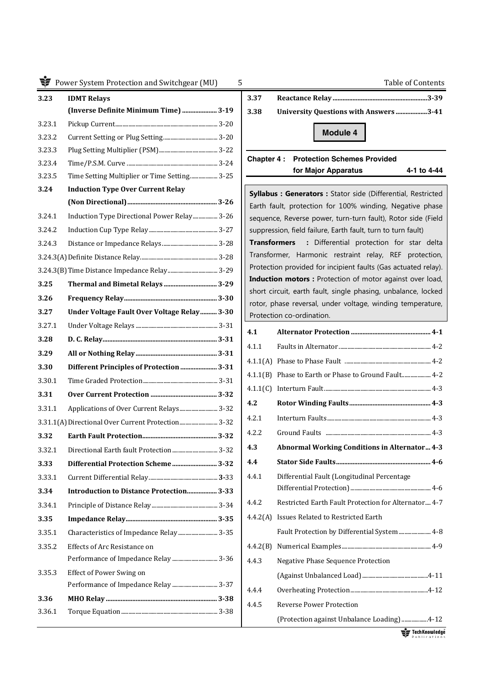| 3.23   | <b>IDMT Relays</b>                                 | 3.37                |                                                                                         |
|--------|----------------------------------------------------|---------------------|-----------------------------------------------------------------------------------------|
|        | (Inverse Definite Minimum Time)  3-19              | 3.38                | <b>University Questions with Answers 3-41</b>                                           |
| 3.23.1 |                                                    |                     |                                                                                         |
| 3.23.2 |                                                    |                     | Module 4                                                                                |
| 3.23.3 |                                                    |                     |                                                                                         |
| 3.23.4 |                                                    | Chapter 4 :         | <b>Protection Schemes Provided</b>                                                      |
| 3.23.5 | Time Setting Multiplier or Time Setting 3-25       |                     | for Major Apparatus<br>4-1 to 4-44                                                      |
| 3.24   | <b>Induction Type Over Current Relay</b>           |                     | Syllabus : Generators : Stator side (Differential, Restricted                           |
|        |                                                    |                     | Earth fault, protection for 100% winding, Negative phase                                |
| 3.24.1 | Induction Type Directional Power Relay 3-26        |                     | sequence, Reverse power, turn-turn fault), Rotor side (Field                            |
| 3.24.2 |                                                    |                     | suppression, field failure, Earth fault, turn to turn fault)                            |
| 3.24.3 |                                                    | <b>Transformers</b> | : Differential protection for star delta                                                |
|        |                                                    |                     | Transformer, Harmonic restraint relay, REF protection,                                  |
|        |                                                    |                     | Protection provided for incipient faults (Gas actuated relay).                          |
| 3.25   | Thermal and Bimetal Relays  3-29                   |                     | Induction motors : Protection of motor against over load,                               |
| 3.26   |                                                    |                     | short circuit, earth fault, single phasing, unbalance, locked                           |
| 3.27   | Under Voltage Fault Over Voltage Relay  3-30       |                     | rotor, phase reversal, under voltage, winding temperature,<br>Protection co-ordination. |
| 3.27.1 |                                                    |                     |                                                                                         |
| 3.28   |                                                    | 4.1                 |                                                                                         |
| 3.29   |                                                    | 4.1.1               |                                                                                         |
| 3.30   | Different Principles of Protection  3-31           |                     |                                                                                         |
| 3.30.1 |                                                    |                     | 4.1.1(B) Phase to Earth or Phase to Ground Fault 4-2                                    |
| 3.31   |                                                    |                     |                                                                                         |
| 3.31.1 | Applications of Over Current Relays 3-32           | 4.2                 |                                                                                         |
|        | 3.31.1(A) Directional Over Current Protection 3-32 | 4.2.1               |                                                                                         |
| 3.32   |                                                    | 4.2.2               |                                                                                         |
| 3.32.1 | Directional Earth fault Protection 3-32            | 4.3                 | <b>Abnormal Working Conditions in Alternator 4-3</b>                                    |
| 3.33   | Differential Protection Scheme 3-32                | 4.4                 |                                                                                         |
| 3.33.1 |                                                    | 4.4.1               | Differential Fault (Longitudinal Percentage                                             |
| 3.34   | Introduction to Distance Protection 3-33           |                     |                                                                                         |
| 3.34.1 |                                                    | 4.4.2               | Restricted Earth Fault Protection for Alternator 4-7                                    |
| 3.35   |                                                    |                     | 4.4.2(A) Issues Related to Restricted Earth                                             |
| 3.35.1 | Characteristics of Impedance Relay  3-35           |                     | Fault Protection by Differential System  4-8                                            |
| 3.35.2 | Effects of Arc Resistance on                       | 4.4.2(B)            |                                                                                         |
|        |                                                    |                     |                                                                                         |
| 3.35.3 | Effect of Power Swing on                           | 4.4.3               | <b>Negative Phase Sequence Protection</b>                                               |
|        |                                                    |                     |                                                                                         |
| 3.36   |                                                    | 4.4.4               |                                                                                         |
| 3.36.1 |                                                    | 4.4.5               | <b>Reverse Power Protection</b>                                                         |
|        |                                                    |                     | (Protection against Unbalance Loading) 4-12                                             |

| 3.37 |                                        |          |  |
|------|----------------------------------------|----------|--|
| 3.38 | University Questions with Answers 3-41 |          |  |
|      |                                        | Module 4 |  |
|      |                                        |          |  |

| 4.1      |                                                      |
|----------|------------------------------------------------------|
| 4.1.1    |                                                      |
| 4.1.1(A) |                                                      |
| 4.1.1(B) | Phase to Earth or Phase to Ground Fault 4-2          |
| 4.1.1(C) |                                                      |
| 4.2      |                                                      |
| 4.2.1    |                                                      |
| 4.2.2    |                                                      |
| 4.3      | <b>Abnormal Working Conditions in Alternator 4-3</b> |
| 4.4      |                                                      |
| 4.4.1    | Differential Fault (Longitudinal Percentage          |
|          |                                                      |
| 4.4.2    | Restricted Earth Fault Protection for Alternator 4-7 |
| 4.4.2(A) | <b>Issues Related to Restricted Earth</b>            |
|          | Fault Protection by Differential System  4-8         |
| 4.4.2(B) |                                                      |
| 4.4.3    | Negative Phase Sequence Protection                   |
|          |                                                      |
| 4.4.4    |                                                      |
| 4.4.5    | <b>Reverse Power Protection</b>                      |
|          | [Protection against Unbalance Loading] 4-12          |
|          | $E = T$ ech Knowledna                                |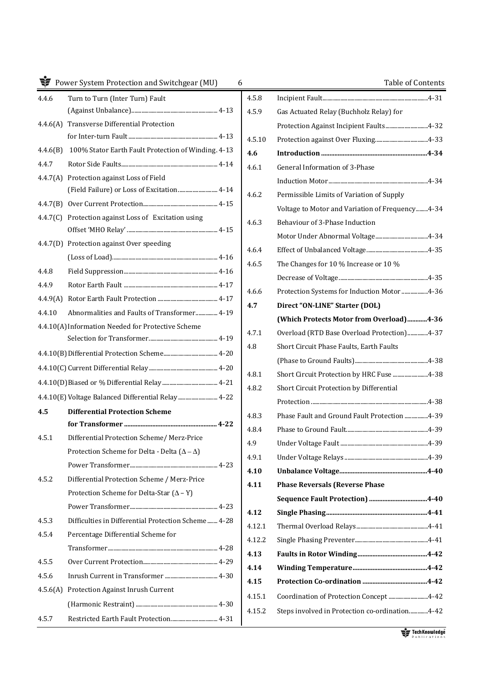|          | Power System Protection and Switchgear (MU)             | 6      | Table of Contents                                |
|----------|---------------------------------------------------------|--------|--------------------------------------------------|
| 4.4.6    | Turn to Turn (Inter Turn) Fault                         | 4.5.8  |                                                  |
|          |                                                         | 4.5.9  | Gas Actuated Relay (Buchholz Relay) for          |
| 4.4.6(A) | <b>Transverse Differential Protection</b>               |        | Protection Against Incipient Faults4-32          |
|          |                                                         | 4.5.10 |                                                  |
| 4.4.6(B) | 100% Stator Earth Fault Protection of Winding. 4-13     | 4.6    |                                                  |
| 4.4.7    |                                                         | 4.6.1  | General Information of 3-Phase                   |
|          | 4.4.7(A) Protection against Loss of Field               |        |                                                  |
|          | (Field Failure) or Loss of Excitation 4-14              | 4.6.2  | Permissible Limits of Variation of Supply        |
|          |                                                         |        | Voltage to Motor and Variation of Frequency 4-34 |
|          | 4.4.7(C) Protection against Loss of Excitation using    | 4.6.3  | Behaviour of 3-Phase Induction                   |
|          |                                                         |        |                                                  |
|          | 4.4.7(D) Protection against Over speeding               | 4.6.4  |                                                  |
|          |                                                         | 4.6.5  | The Changes for 10 % Increase or 10 %            |
| 4.4.8    |                                                         |        |                                                  |
| 4.4.9    |                                                         | 4.6.6  | Protection Systems for Induction Motor 4-36      |
| 4.4.9(A) |                                                         | 4.7    | Direct "ON-LINE" Starter (DOL)                   |
| 4.4.10   | Abnormalities and Faults of Transformer 4-19            |        | (Which Protects Motor from Overload)4-36         |
|          | 4.4.10(A) Information Needed for Protective Scheme      | 4.7.1  | Overload (RTD Base Overload Protection)4-37      |
|          |                                                         |        |                                                  |
|          |                                                         | 4.8    | Short Circuit Phase Faults, Earth Faults         |
|          |                                                         |        |                                                  |
|          |                                                         | 4.8.1  | Short Circuit Protection by HRC Fuse 4-38        |
|          |                                                         | 4.8.2  | Short Circuit Protection by Differential         |
| 4.5      | <b>Differential Protection Scheme</b>                   |        |                                                  |
|          |                                                         | 4.8.3  | Phase Fault and Ground Fault Protection 4-39     |
| 4.5.1    | Differential Protection Scheme/ Merz-Price              | 4.8.4  |                                                  |
|          | Protection Scheme for Delta - Delta $(\Delta - \Delta)$ | 4.9    |                                                  |
|          |                                                         | 4.9.1  |                                                  |
| 4.5.2    | Differential Protection Scheme / Merz-Price             | 4.10   |                                                  |
|          | Protection Scheme for Delta-Star $(\Delta - Y)$         | 4.11   | <b>Phase Reversals (Reverse Phase</b>            |
|          |                                                         |        |                                                  |
| 4.5.3    | Difficulties in Differential Protection Scheme 4-28     | 4.12   |                                                  |
| 4.5.4    | Percentage Differential Scheme for                      | 4.12.1 |                                                  |
|          |                                                         | 4.12.2 |                                                  |
|          |                                                         | 4.13   |                                                  |
| 4.5.5    |                                                         | 4.14   |                                                  |
| 4.5.6    |                                                         | 4.15   |                                                  |
| 4.5.6(A) | Protection Against Inrush Current                       | 4.15.1 | Coordination of Protection Concept 4-42          |
|          |                                                         | 4.15.2 | Steps involved in Protection co-ordination4-42   |
| 4.5.7    | Restricted Earth Fault Protection 4-31                  |        |                                                  |

|        | Table of Contents                                |
|--------|--------------------------------------------------|
| 4.5.8  |                                                  |
| 4.5.9  | Gas Actuated Relay (Buchholz Relay) for          |
|        | Protection Against Incipient Faults4-32          |
| 4.5.10 |                                                  |
| 4.6    |                                                  |
| 4.6.1  | General Information of 3-Phase                   |
|        |                                                  |
| 4.6.2  | Permissible Limits of Variation of Supply        |
|        | Voltage to Motor and Variation of Frequency 4-34 |
| 4.6.3  | Behaviour of 3-Phase Induction                   |
|        |                                                  |
| 4.6.4  |                                                  |
| 4.6.5  | The Changes for 10 % Increase or 10 %            |
|        |                                                  |
| 4.6.6  | Protection Systems for Induction Motor 4-36      |
| 4.7    | Direct "ON-LINE" Starter (DOL)                   |
|        | (Which Protects Motor from Overload)4-36         |
| 4.7.1  | Overload (RTD Base Overload Protection)4-37      |
| 4.8    | Short Circuit Phase Faults, Earth Faults         |
|        |                                                  |
| 4.8.1  | Short Circuit Protection by HRC Fuse 4-38        |
| 4.8.2  | Short Circuit Protection by Differential         |
|        |                                                  |
| 4.8.3  | Phase Fault and Ground Fault Protection 4-39     |
| 4.8.4  |                                                  |
| 4.9    |                                                  |
| 4.9.1  |                                                  |
| 4.10   |                                                  |
| 4.11   | <b>Phase Reversals (Reverse Phase</b>            |
|        |                                                  |
| 4.12   |                                                  |
| 4.12.1 |                                                  |
| 4.12.2 |                                                  |
| 4.13   |                                                  |
| 4.14   |                                                  |
| 4.15   |                                                  |
| 4.15.1 | Coordination of Protection Concept 4-42          |
| 4.15.2 | Steps involved in Protection co-ordination4-42   |
|        |                                                  |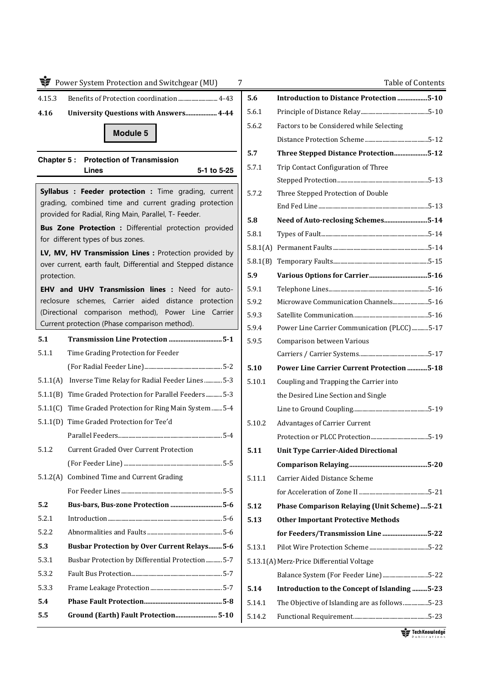|             | Power System Protection and Switchgear (MU)                                                                   | 7        |
|-------------|---------------------------------------------------------------------------------------------------------------|----------|
| 4.15.3      | Benefits of Protection coordination  4-43                                                                     | 5.       |
| 4.16        | <b>University Questions with Answers 4-44</b>                                                                 | 5.       |
|             |                                                                                                               | 5.       |
|             | <b>Module 5</b>                                                                                               |          |
|             | <b>Chapter 5: Protection of Transmission</b>                                                                  | 5.       |
|             | 5-1 to 5-25<br>Lines                                                                                          | 5.       |
|             | Syllabus : Feeder protection : Time grading, current<br>grading, combined time and current grading protection | 5.       |
|             | provided for Radial, Ring Main, Parallel, T- Feeder.                                                          | 5.       |
|             | Bus Zone Protection : Differential protection provided<br>for different types of bus zones.                   | 5.       |
|             | LV, MV, HV Transmission Lines : Protection provided by                                                        | 5.       |
|             | over current, earth fault, Differential and Stepped distance                                                  | 5.       |
| protection. |                                                                                                               | 5.       |
|             | EHV and UHV Transmission lines : Need for auto-                                                               | 5.       |
|             | reclosure schemes, Carrier aided distance protection<br>(Directional comparison method), Power Line Carrier   | 5.       |
|             | Current protection (Phase comparison method).                                                                 | 5.       |
| 5.1         |                                                                                                               | 5.<br>5. |
| 5.1.1       | Time Grading Protection for Feeder                                                                            |          |
|             |                                                                                                               | 5.       |
|             | 5-3. I.1(A) Inverse Time Relay for Radial Feeder Lines  5-3                                                   | 5.       |
|             | 5-3. Time Graded Protection for Parallel Feeders 5-3                                                          |          |
|             | 5-1.1(C) Time Graded Protection for Ring Main System  5-4                                                     |          |
|             | 5.1.1(D) Time Graded Protection for Tee'd                                                                     | 5.       |
|             |                                                                                                               |          |
| 5.1.2       | Current Graded Over Current Protection                                                                        | 5.       |
|             |                                                                                                               |          |
|             | 5.1.2(A) Combined Time and Current Grading                                                                    | 5.       |
|             |                                                                                                               |          |
| 5.2         | Bus-bars, Bus-zone Protection 5-6                                                                             | 5.       |
| 5.2.1       |                                                                                                               | 5.       |
| 5.2.2       |                                                                                                               |          |
| 5.3         | <b>Busbar Protection by Over Current Relays 5-6</b>                                                           | 5.       |
| 5.3.1       | Busbar Protection by Differential Protection 5-7                                                              | 5.       |
| 5.3.2       |                                                                                                               |          |
| 5.3.3       |                                                                                                               | 5.       |
| 5.4         |                                                                                                               | 5.       |
| 5.5         | Ground (Earth) Fault Protection 5-10                                                                          | 5.       |

|          | Table of Contents                                 |
|----------|---------------------------------------------------|
| 5.6      | Introduction to Distance Protection 5-10          |
| 5.6.1    |                                                   |
| 5.6.2    | Factors to be Considered while Selecting          |
|          |                                                   |
| 5.7      | Three Stepped Distance Protection5-12             |
| 5.7.1    | Trip Contact Configuration of Three               |
|          |                                                   |
| 5.7.2    | Three Stepped Protection of Double                |
|          |                                                   |
| 5.8      | Need of Auto-reclosing Schemes5-14                |
| 5.8.1    |                                                   |
| 5.8.1(A) |                                                   |
| 5.8.1(B) |                                                   |
| 5.9      |                                                   |
| 5.9.1    |                                                   |
| 5.9.2    | Microwave Communication Channels5-16              |
| 5.9.3    |                                                   |
| 5.9.4    | Power Line Carrier Communication (PLCC) 5-17      |
| 5.9.5    | Comparison between Various                        |
|          |                                                   |
| 5.10     | <b>Power Line Carrier Current Protection 5-18</b> |
| 5.10.1   | Coupling and Trapping the Carrier into            |
|          | the Desired Line Section and Single               |
|          |                                                   |
| 5.10.2   | <b>Advantages of Carrier Current</b>              |
|          |                                                   |
| 5.11     | <b>Unit Type Carrier-Aided Directional</b>        |
|          |                                                   |
| 5.11.1   | Carrier Aided Distance Scheme                     |
|          |                                                   |
| 5.12     | Phase Comparison Relaying (Unit Scheme)  5-21     |
| 5.13     | <b>Other Important Protective Methods</b>         |
|          | for Feeders/Transmission Line 5-22                |
| 5.13.1   |                                                   |
|          | 5.13.1(A) Merz-Price Differential Voltage         |
|          | Balance System (For Feeder Line)5-22              |
| 5.14     | Introduction to the Concept of Islanding 5-23     |
| 5.14.1   | The Objective of Islanding are as follows5-23     |
| 5.14.2   |                                                   |